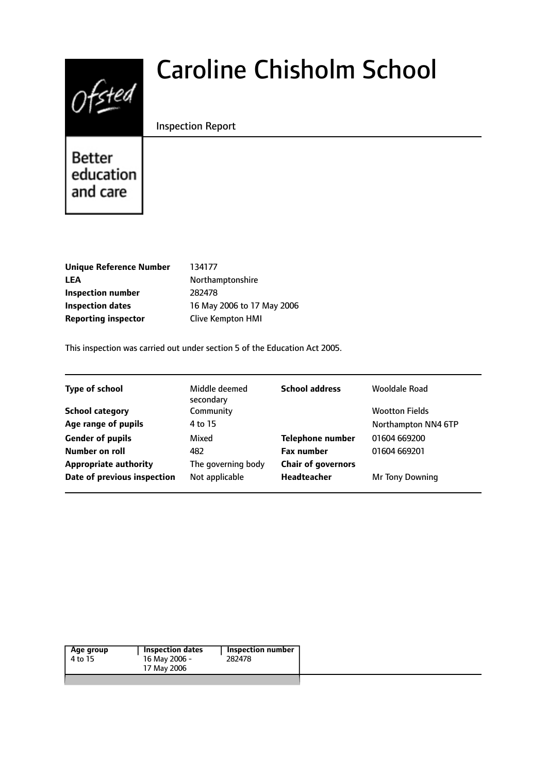

# Caroline Chisholm School

## Inspection Report

**Better** education and care

**Unique Reference Number** 134177 LEA Northamptonshire **Inspection number** 282478 **Reporting inspector** Clive Kempton HMI

**Inspection dates** 16 May 2006 to 17 May 2006

This inspection was carried out under section 5 of the Education Act 2005.

| <b>Type of school</b>        | Middle deemed<br>secondary | <b>School address</b>     | Wooldale Road         |
|------------------------------|----------------------------|---------------------------|-----------------------|
| <b>School category</b>       | Community                  |                           | <b>Wootton Fields</b> |
| Age range of pupils          | 4 to 15                    |                           | Northampton NN4 6TP   |
| <b>Gender of pupils</b>      | Mixed                      | <b>Telephone number</b>   | 01604 669200          |
| Number on roll               | 482                        | <b>Fax number</b>         | 01604 669201          |
| <b>Appropriate authority</b> | The governing body         | <b>Chair of governors</b> |                       |
| Date of previous inspection  | Not applicable             | <b>Headteacher</b>        | Mr Tony Downing       |
|                              |                            |                           |                       |

| Inspection dates<br>Inspection number<br>282478 |
|-------------------------------------------------|
|-------------------------------------------------|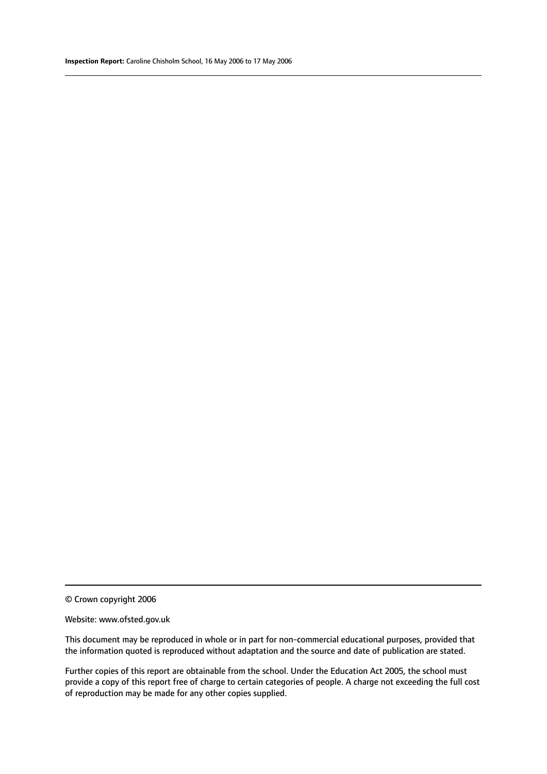© Crown copyright 2006

#### Website: www.ofsted.gov.uk

This document may be reproduced in whole or in part for non-commercial educational purposes, provided that the information quoted is reproduced without adaptation and the source and date of publication are stated.

Further copies of this report are obtainable from the school. Under the Education Act 2005, the school must provide a copy of this report free of charge to certain categories of people. A charge not exceeding the full cost of reproduction may be made for any other copies supplied.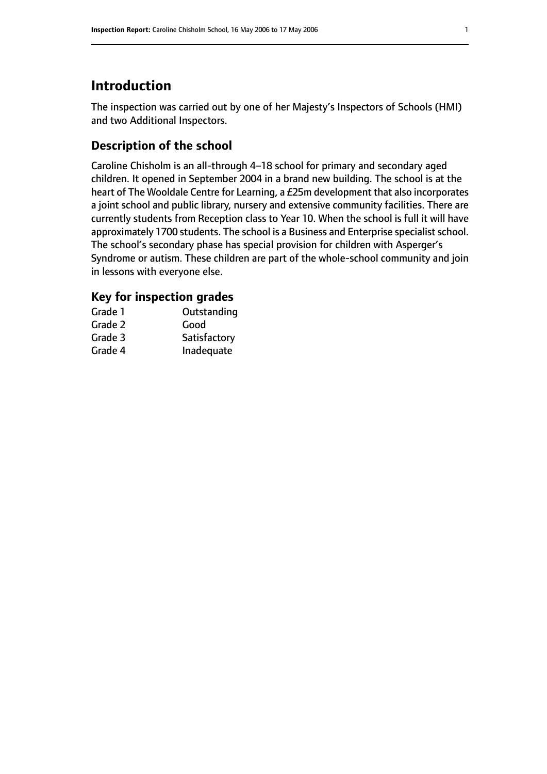# **Introduction**

The inspection was carried out by one of her Majesty's Inspectors of Schools (HMI) and two Additional Inspectors.

# **Description of the school**

Caroline Chisholm is an all-through 4–18 school for primary and secondary aged children. It opened in September 2004 in a brand new building. The school is at the heart of The Wooldale Centre for Learning, a £25m development that also incorporates a joint school and public library, nursery and extensive community facilities. There are currently students from Reception class to Year 10. When the school is full it will have approximately 1700 students. The school is a Business and Enterprise specialist school. The school's secondary phase has special provision for children with Asperger's Syndrome or autism. These children are part of the whole-school community and join in lessons with everyone else.

## **Key for inspection grades**

| Grade 1 | Outstanding  |
|---------|--------------|
| Grade 2 | Good         |
| Grade 3 | Satisfactory |
| Grade 4 | Inadequate   |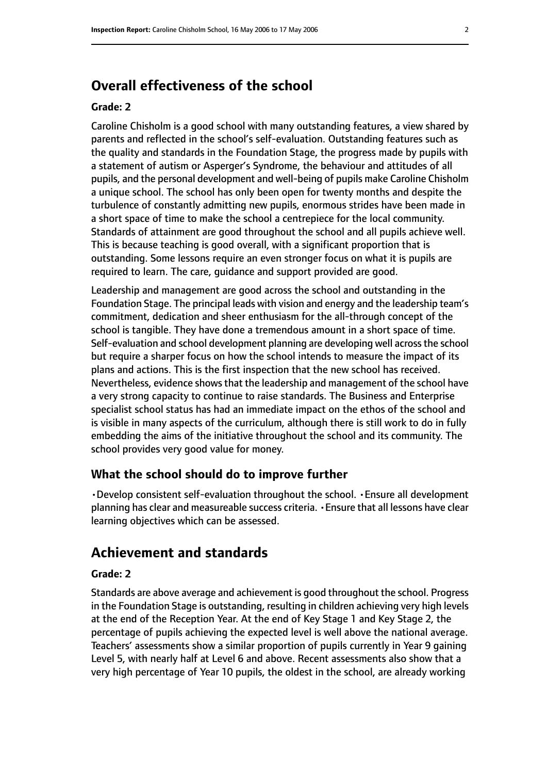# **Overall effectiveness of the school**

#### **Grade: 2**

Caroline Chisholm is a good school with many outstanding features, a view shared by parents and reflected in the school's self-evaluation. Outstanding features such as the quality and standards in the Foundation Stage, the progress made by pupils with a statement of autism or Asperger's Syndrome, the behaviour and attitudes of all pupils, and the personal development and well-being of pupils make Caroline Chisholm a unique school. The school has only been open for twenty months and despite the turbulence of constantly admitting new pupils, enormous strides have been made in a short space of time to make the school a centrepiece for the local community. Standards of attainment are good throughout the school and all pupils achieve well. This is because teaching is good overall, with a significant proportion that is outstanding. Some lessons require an even stronger focus on what it is pupils are required to learn. The care, guidance and support provided are good.

Leadership and management are good across the school and outstanding in the Foundation Stage. The principal leads with vision and energy and the leadership team's commitment, dedication and sheer enthusiasm for the all-through concept of the school is tangible. They have done a tremendous amount in a short space of time. Self-evaluation and school development planning are developing well acrossthe school but require a sharper focus on how the school intends to measure the impact of its plans and actions. This is the first inspection that the new school has received. Nevertheless, evidence shows that the leadership and management of the school have a very strong capacity to continue to raise standards. The Business and Enterprise specialist school status has had an immediate impact on the ethos of the school and is visible in many aspects of the curriculum, although there is still work to do in fully embedding the aims of the initiative throughout the school and its community. The school provides very good value for money.

## **What the school should do to improve further**

•Develop consistent self-evaluation throughout the school. •Ensure all development planning has clear and measureable success criteria. •Ensure that all lessons have clear learning objectives which can be assessed.

# **Achievement and standards**

#### **Grade: 2**

Standards are above average and achievement is good throughout the school. Progress in the Foundation Stage is outstanding, resulting in children achieving very high levels at the end of the Reception Year. At the end of Key Stage 1 and Key Stage 2, the percentage of pupils achieving the expected level is well above the national average. Teachers' assessments show a similar proportion of pupils currently in Year 9 gaining Level 5, with nearly half at Level 6 and above. Recent assessments also show that a very high percentage of Year 10 pupils, the oldest in the school, are already working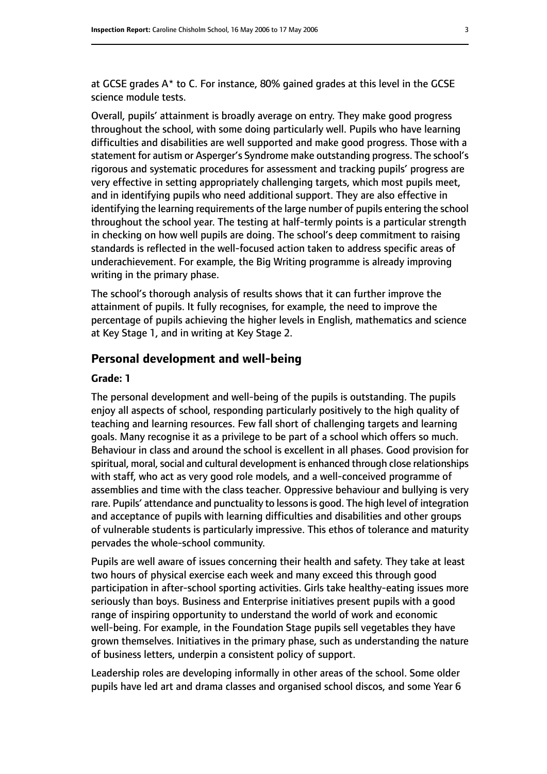at GCSE grades A\* to C. For instance, 80% gained grades at this level in the GCSE science module tests.

Overall, pupils' attainment is broadly average on entry. They make good progress throughout the school, with some doing particularly well. Pupils who have learning difficulties and disabilities are well supported and make good progress. Those with a statement for autism or Asperger's Syndrome make outstanding progress. The school's rigorous and systematic procedures for assessment and tracking pupils' progress are very effective in setting appropriately challenging targets, which most pupils meet, and in identifying pupils who need additional support. They are also effective in identifying the learning requirements of the large number of pupils entering the school throughout the school year. The testing at half-termly points is a particular strength in checking on how well pupils are doing. The school's deep commitment to raising standards is reflected in the well-focused action taken to address specific areas of underachievement. For example, the Big Writing programme is already improving writing in the primary phase.

The school's thorough analysis of results shows that it can further improve the attainment of pupils. It fully recognises, for example, the need to improve the percentage of pupils achieving the higher levels in English, mathematics and science at Key Stage 1, and in writing at Key Stage 2.

#### **Personal development and well-being**

#### **Grade: 1**

The personal development and well-being of the pupils is outstanding. The pupils enjoy all aspects of school, responding particularly positively to the high quality of teaching and learning resources. Few fall short of challenging targets and learning goals. Many recognise it as a privilege to be part of a school which offers so much. Behaviour in class and around the school is excellent in all phases. Good provision for spiritual, moral, social and cultural development is enhanced through close relationships with staff, who act as very good role models, and a well-conceived programme of assemblies and time with the class teacher. Oppressive behaviour and bullying is very rare. Pupils' attendance and punctuality to lessons is good. The high level of integration and acceptance of pupils with learning difficulties and disabilities and other groups of vulnerable students is particularly impressive. This ethos of tolerance and maturity pervades the whole-school community.

Pupils are well aware of issues concerning their health and safety. They take at least two hours of physical exercise each week and many exceed this through good participation in after-school sporting activities. Girls take healthy-eating issues more seriously than boys. Business and Enterprise initiatives present pupils with a good range of inspiring opportunity to understand the world of work and economic well-being. For example, in the Foundation Stage pupils sell vegetables they have grown themselves. Initiatives in the primary phase, such as understanding the nature of business letters, underpin a consistent policy of support.

Leadership roles are developing informally in other areas of the school. Some older pupils have led art and drama classes and organised school discos, and some Year 6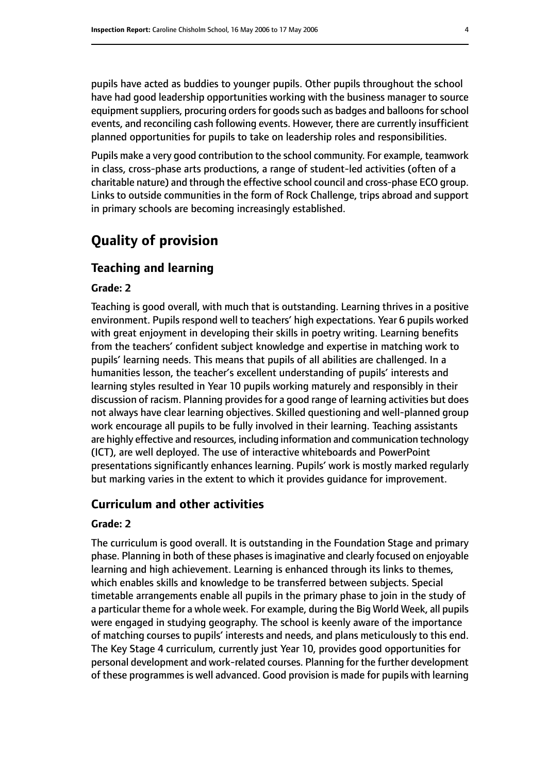pupils have acted as buddies to younger pupils. Other pupils throughout the school have had good leadership opportunities working with the business manager to source equipment suppliers, procuring orders for goods such as badges and balloons for school events, and reconciling cash following events. However, there are currently insufficient planned opportunities for pupils to take on leadership roles and responsibilities.

Pupils make a very good contribution to the school community. For example, teamwork in class, cross-phase arts productions, a range of student-led activities (often of a charitable nature) and through the effective school council and cross-phase ECO group. Links to outside communities in the form of Rock Challenge, trips abroad and support in primary schools are becoming increasingly established.

# **Quality of provision**

## **Teaching and learning**

#### **Grade: 2**

Teaching is good overall, with much that is outstanding. Learning thrives in a positive environment. Pupils respond well to teachers' high expectations. Year 6 pupils worked with great enjoyment in developing their skills in poetry writing. Learning benefits from the teachers' confident subject knowledge and expertise in matching work to pupils' learning needs. This means that pupils of all abilities are challenged. In a humanities lesson, the teacher's excellent understanding of pupils' interests and learning styles resulted in Year 10 pupils working maturely and responsibly in their discussion of racism. Planning provides for a good range of learning activities but does not always have clear learning objectives. Skilled questioning and well-planned group work encourage all pupils to be fully involved in their learning. Teaching assistants are highly effective and resources, including information and communication technology (ICT), are well deployed. The use of interactive whiteboards and PowerPoint presentations significantly enhances learning. Pupils' work is mostly marked regularly but marking varies in the extent to which it provides guidance for improvement.

## **Curriculum and other activities**

#### **Grade: 2**

The curriculum is good overall. It is outstanding in the Foundation Stage and primary phase. Planning in both of these phases is imaginative and clearly focused on enjoyable learning and high achievement. Learning is enhanced through its links to themes, which enables skills and knowledge to be transferred between subjects. Special timetable arrangements enable all pupils in the primary phase to join in the study of a particular theme for a whole week. For example, during the Big World Week, all pupils were engaged in studying geography. The school is keenly aware of the importance of matching courses to pupils' interests and needs, and plans meticulously to this end. The Key Stage 4 curriculum, currently just Year 10, provides good opportunities for personal development and work-related courses. Planning for the further development of these programmes is well advanced. Good provision is made for pupils with learning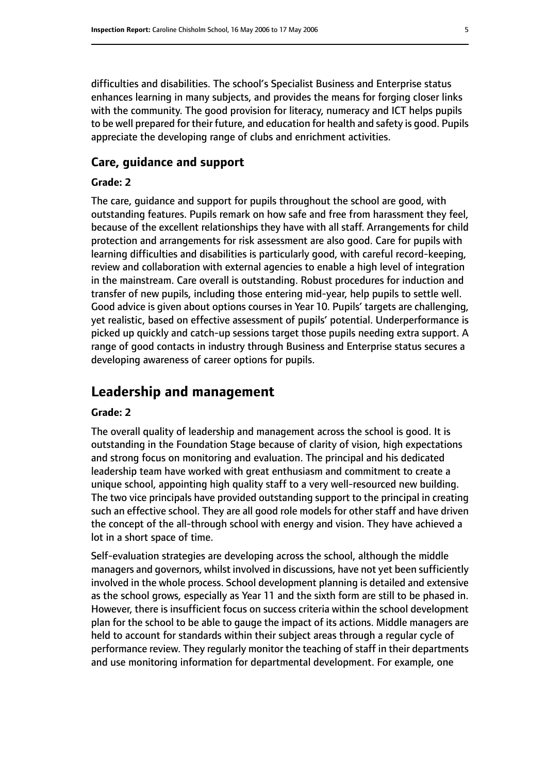difficulties and disabilities. The school's Specialist Business and Enterprise status enhances learning in many subjects, and provides the means for forging closer links with the community. The good provision for literacy, numeracy and ICT helps pupils to be well prepared for their future, and education for health and safety is good. Pupils appreciate the developing range of clubs and enrichment activities.

#### **Care, guidance and support**

#### **Grade: 2**

The care, guidance and support for pupils throughout the school are good, with outstanding features. Pupils remark on how safe and free from harassment they feel, because of the excellent relationships they have with all staff. Arrangements for child protection and arrangements for risk assessment are also good. Care for pupils with learning difficulties and disabilities is particularly good, with careful record-keeping, review and collaboration with external agencies to enable a high level of integration in the mainstream. Care overall is outstanding. Robust procedures for induction and transfer of new pupils, including those entering mid-year, help pupils to settle well. Good advice is given about options courses in Year 10. Pupils' targets are challenging, yet realistic, based on effective assessment of pupils' potential. Underperformance is picked up quickly and catch-up sessions target those pupils needing extra support. A range of good contacts in industry through Business and Enterprise status secures a developing awareness of career options for pupils.

# **Leadership and management**

#### **Grade: 2**

The overall quality of leadership and management across the school is good. It is outstanding in the Foundation Stage because of clarity of vision, high expectations and strong focus on monitoring and evaluation. The principal and his dedicated leadership team have worked with great enthusiasm and commitment to create a unique school, appointing high quality staff to a very well-resourced new building. The two vice principals have provided outstanding support to the principal in creating such an effective school. They are all good role models for other staff and have driven the concept of the all-through school with energy and vision. They have achieved a lot in a short space of time.

Self-evaluation strategies are developing across the school, although the middle managers and governors, whilst involved in discussions, have not yet been sufficiently involved in the whole process. School development planning is detailed and extensive as the school grows, especially as Year 11 and the sixth form are still to be phased in. However, there is insufficient focus on success criteria within the school development plan for the school to be able to gauge the impact of its actions. Middle managers are held to account for standards within their subject areas through a regular cycle of performance review. They regularly monitor the teaching of staff in their departments and use monitoring information for departmental development. For example, one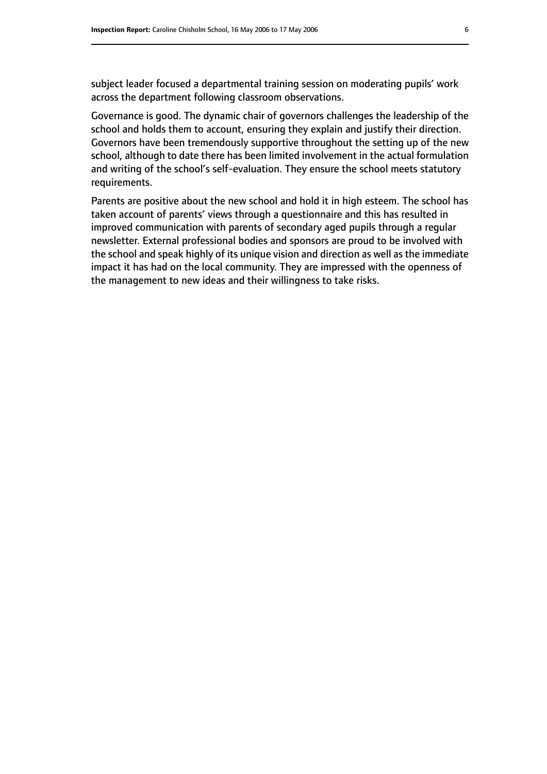subject leader focused a departmental training session on moderating pupils' work across the department following classroom observations.

Governance is good. The dynamic chair of governors challenges the leadership of the school and holds them to account, ensuring they explain and justify their direction. Governors have been tremendously supportive throughout the setting up of the new school, although to date there has been limited involvement in the actual formulation and writing of the school's self-evaluation. They ensure the school meets statutory requirements.

Parents are positive about the new school and hold it in high esteem. The school has taken account of parents' views through a questionnaire and this has resulted in improved communication with parents of secondary aged pupils through a regular newsletter. External professional bodies and sponsors are proud to be involved with the school and speak highly of its unique vision and direction as well as the immediate impact it has had on the local community. They are impressed with the openness of the management to new ideas and their willingness to take risks.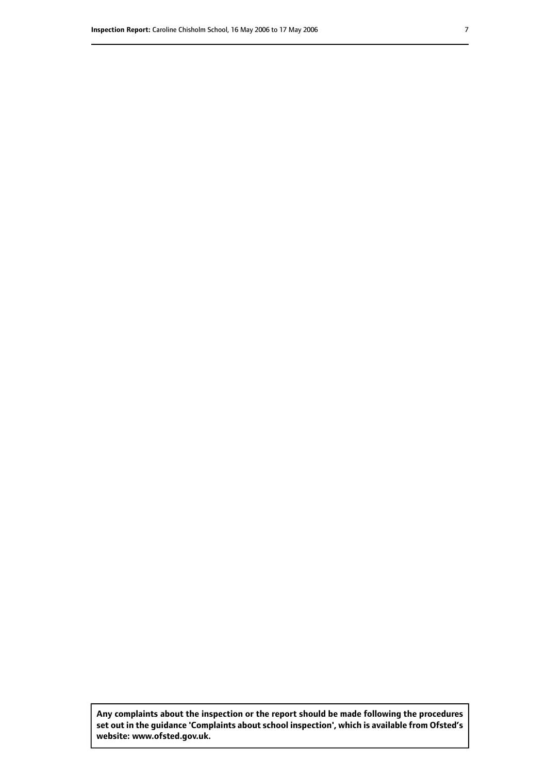**Any complaints about the inspection or the report should be made following the procedures set out inthe guidance 'Complaints about school inspection', whichis available from Ofsted's website: www.ofsted.gov.uk.**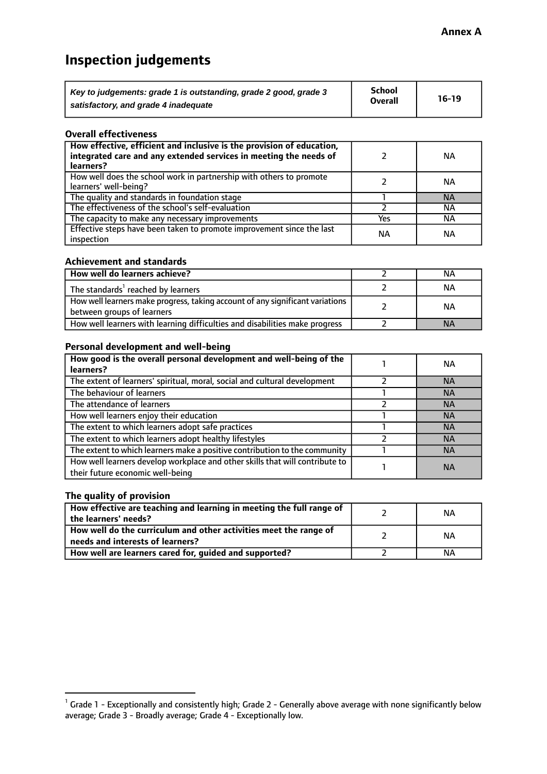# **Inspection judgements**

| Key to judgements: grade 1 is outstanding, grade 2 good, grade 3 | <b>School</b><br><b>Overall</b> | $16-19$ |
|------------------------------------------------------------------|---------------------------------|---------|
| satisfactory, and grade 4 inadequate                             |                                 |         |

#### **Overall effectiveness**

| How effective, efficient and inclusive is the provision of education,<br>integrated care and any extended services in meeting the needs of<br>learners? |     | NА        |
|---------------------------------------------------------------------------------------------------------------------------------------------------------|-----|-----------|
| How well does the school work in partnership with others to promote<br>learners' well-being?                                                            |     | NА        |
| The quality and standards in foundation stage                                                                                                           |     | <b>NA</b> |
| The effectiveness of the school's self-evaluation                                                                                                       |     | ΝA        |
| The capacity to make any necessary improvements                                                                                                         | Yes | NА        |
| Effective steps have been taken to promote improvement since the last<br>inspection                                                                     | ΝA  | <b>NA</b> |

#### **Achievement and standards**

| How well do learners achieve?                                                                               | ΝA        |
|-------------------------------------------------------------------------------------------------------------|-----------|
| The standards <sup>1</sup> reached by learners                                                              | NА        |
| How well learners make progress, taking account of any significant variations<br>between groups of learners | <b>NA</b> |
| How well learners with learning difficulties and disabilities make progress                                 | <b>NA</b> |

#### **Personal development and well-being**

| How good is the overall personal development and well-being of the<br>learners?                                  | ΝA        |
|------------------------------------------------------------------------------------------------------------------|-----------|
| The extent of learners' spiritual, moral, social and cultural development                                        | <b>NA</b> |
| The behaviour of learners                                                                                        | <b>NA</b> |
| The attendance of learners                                                                                       | <b>NA</b> |
| How well learners enjoy their education                                                                          | <b>NA</b> |
| The extent to which learners adopt safe practices                                                                | <b>NA</b> |
| The extent to which learners adopt healthy lifestyles                                                            | <b>NA</b> |
| The extent to which learners make a positive contribution to the community                                       | <b>NA</b> |
| How well learners develop workplace and other skills that will contribute to<br>their future economic well-being | <b>NA</b> |

## **The quality of provision**

| How effective are teaching and learning in meeting the full range of<br>the learners' needs?          | ΝA |
|-------------------------------------------------------------------------------------------------------|----|
| How well do the curriculum and other activities meet the range of<br>needs and interests of learners? | ΝA |
| How well are learners cared for, guided and supported?                                                | NА |

 $^1$  Grade 1 - Exceptionally and consistently high; Grade 2 - Generally above average with none significantly below average; Grade 3 - Broadly average; Grade 4 - Exceptionally low.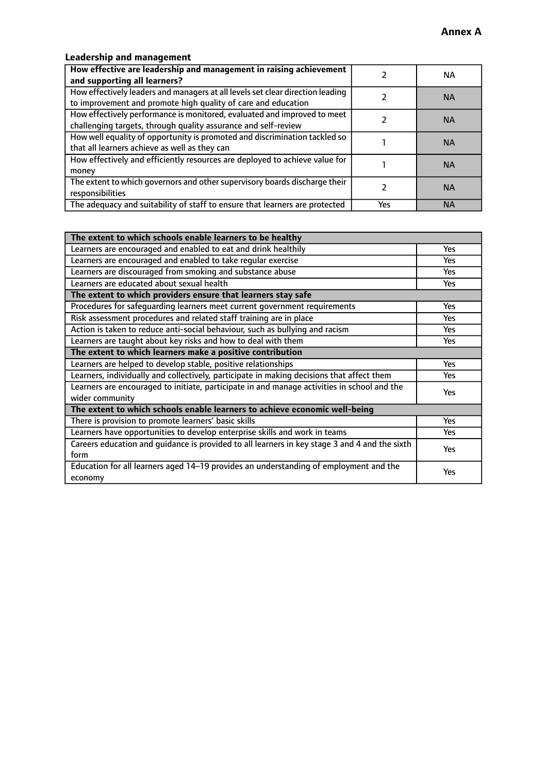# **Leadership and management**

| How effective are leadership and management in raising achievement<br>and supporting all learners?                                              |     | NA.       |
|-------------------------------------------------------------------------------------------------------------------------------------------------|-----|-----------|
| How effectively leaders and managers at all levels set clear direction leading<br>to improvement and promote high quality of care and education |     | <b>NA</b> |
| How effectively performance is monitored, evaluated and improved to meet<br>challenging targets, through quality assurance and self-review      |     | <b>NA</b> |
| How well equality of opportunity is promoted and discrimination tackled so<br>that all learners achieve as well as they can                     |     | <b>NA</b> |
| How effectively and efficiently resources are deployed to achieve value for<br>money                                                            |     | <b>NA</b> |
| The extent to which governors and other supervisory boards discharge their<br>responsibilities                                                  |     | <b>NA</b> |
| The adequacy and suitability of staff to ensure that learners are protected                                                                     | Yes | <b>NA</b> |

| The extent to which schools enable learners to be healthy                                     |            |  |
|-----------------------------------------------------------------------------------------------|------------|--|
| Learners are encouraged and enabled to eat and drink healthily                                | Yes        |  |
| Learners are encouraged and enabled to take regular exercise                                  | <b>Yes</b> |  |
| Learners are discouraged from smoking and substance abuse                                     | Yes        |  |
| Learners are educated about sexual health                                                     | Yes        |  |
| The extent to which providers ensure that learners stay safe                                  |            |  |
| Procedures for safequarding learners meet current government requirements                     | Yes        |  |
| Risk assessment procedures and related staff training are in place                            | Yes        |  |
| Action is taken to reduce anti-social behaviour, such as bullying and racism                  | <b>Yes</b> |  |
| Learners are taught about key risks and how to deal with them                                 | Yes        |  |
| The extent to which learners make a positive contribution                                     |            |  |
| Learners are helped to develop stable, positive relationships                                 | Yes        |  |
| Learners, individually and collectively, participate in making decisions that affect them     | Yes        |  |
| Learners are encouraged to initiate, participate in and manage activities in school and the   | <b>Yes</b> |  |
| wider community                                                                               |            |  |
| The extent to which schools enable learners to achieve economic well-being                    |            |  |
| There is provision to promote learners' basic skills                                          | Yes        |  |
| Learners have opportunities to develop enterprise skills and work in teams                    | Yes        |  |
| Careers education and quidance is provided to all learners in key stage 3 and 4 and the sixth | Yes        |  |
| form                                                                                          |            |  |
| Education for all learners aged 14-19 provides an understanding of employment and the         | <b>Yes</b> |  |
| economy                                                                                       |            |  |